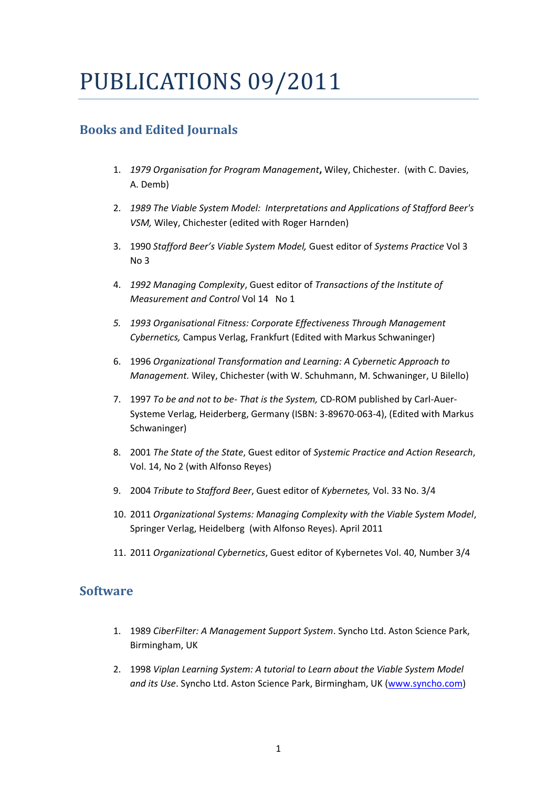## PUBLICATIONS 09/2011

## **Books and Edited Journals**

- 1. *1979 Organisation for Program Management***,** Wiley, Chichester. (with C. Davies, A. Demb)
- 2. *1989 The Viable System Model: Interpretations and Applications of Stafford Beer's VSM,* Wiley, Chichester (edited with Roger Harnden)
- 3. 1990 *Stafford Beer's Viable System Model,* Guest editor of *Systems Practice* Vol 3 No 3
- 4. *1992 Managing Complexity*, Guest editor of *Transactions of the Institute of Measurement and Control* Vol 14 No 1
- *5. 1993 Organisational Fitness: Corporate Effectiveness Through Management Cybernetics,* Campus Verlag, Frankfurt (Edited with Markus Schwaninger)
- 6. 1996 *Organizational Transformation and Learning: A Cybernetic Approach to Management.* Wiley, Chichester (with W. Schuhmann, M. Schwaninger, U Bilello)
- 7. 1997 *To be and not to be- That is the System,* CD-ROM published by Carl-Auer-Systeme Verlag, Heiderberg, Germany (ISBN: 3-89670-063-4), (Edited with Markus Schwaninger)
- 8. 2001 *The State of the State*, Guest editor of *Systemic Practice and Action Research*, Vol. 14, No 2 (with Alfonso Reyes)
- 9. 2004 *Tribute to Stafford Beer*, Guest editor of *Kybernetes,* Vol. 33 No. 3/4
- 10. 2011 *Organizational Systems: Managing Complexity with the Viable System Model*, Springer Verlag, Heidelberg (with Alfonso Reyes). April 2011
- 11. 2011 *Organizational Cybernetics*, Guest editor of Kybernetes Vol. 40, Number 3/4

## **Software**

- 1. 1989 *CiberFilter: A Management Support System*. Syncho Ltd. Aston Science Park, Birmingham, UK
- 2. 1998 *Viplan Learning System: A tutorial to Learn about the Viable System Model and its Use*. Syncho Ltd. Aston Science Park, Birmingham, UK [\(www.syncho.com\)](http://www.syncho.com/)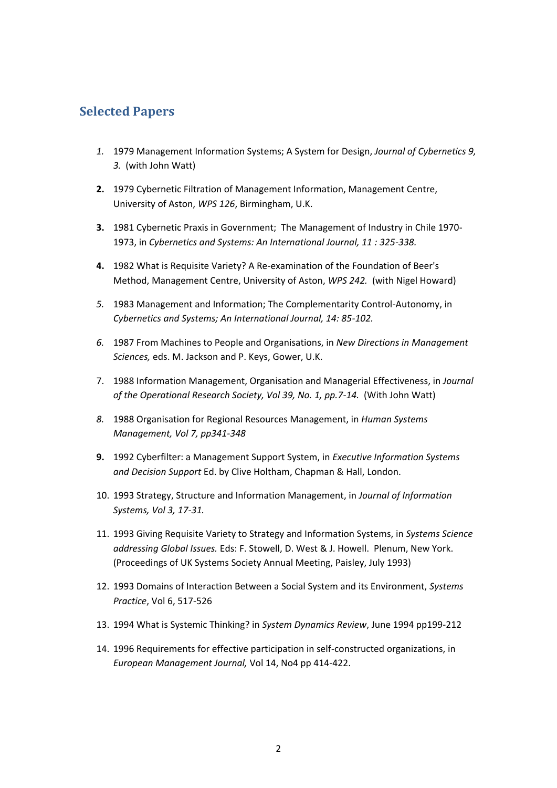## **Selected Papers**

- *1.* 1979 Management Information Systems; A System for Design, *Journal of Cybernetics 9, 3.* (with John Watt)
- **2.** 1979 Cybernetic Filtration of Management Information, Management Centre, University of Aston, *WPS 126*, Birmingham, U.K.
- **3.** 1981 Cybernetic Praxis in Government; The Management of Industry in Chile 1970- 1973, in *Cybernetics and Systems: An International Journal, 11 : 325-338.*
- **4.** 1982 What is Requisite Variety? A Re-examination of the Foundation of Beer's Method, Management Centre, University of Aston, *WPS 242.* (with Nigel Howard)
- *5.* 1983 Management and Information; The Complementarity Control-Autonomy, in *Cybernetics and Systems; An International Journal, 14: 85-102.*
- *6.* 1987 From Machines to People and Organisations, in *New Directions in Management Sciences,* eds. M. Jackson and P. Keys, Gower, U.K.
- 7. 1988 Information Management, Organisation and Managerial Effectiveness, in *Journal of the Operational Research Society, Vol 39, No. 1, pp.7-14.* (With John Watt)
- *8.* 1988 Organisation for Regional Resources Management, in *Human Systems Management, Vol 7, pp341-348*
- **9.** 1992 Cyberfilter: a Management Support System, in *Executive Information Systems and Decision Support* Ed. by Clive Holtham, Chapman & Hall, London.
- 10. 1993 Strategy, Structure and Information Management, in *Journal of Information Systems, Vol 3, 17-31.*
- 11. 1993 Giving Requisite Variety to Strategy and Information Systems, in *Systems Science addressing Global Issues.* Eds: F. Stowell, D. West & J. Howell. Plenum, New York. (Proceedings of UK Systems Society Annual Meeting, Paisley, July 1993)
- 12. 1993 Domains of Interaction Between a Social System and its Environment, *Systems Practice*, Vol 6, 517-526
- 13. 1994 What is Systemic Thinking? in *System Dynamics Review*, June 1994 pp199-212
- 14. 1996 Requirements for effective participation in self-constructed organizations, in *European Management Journal,* Vol 14, No4 pp 414-422.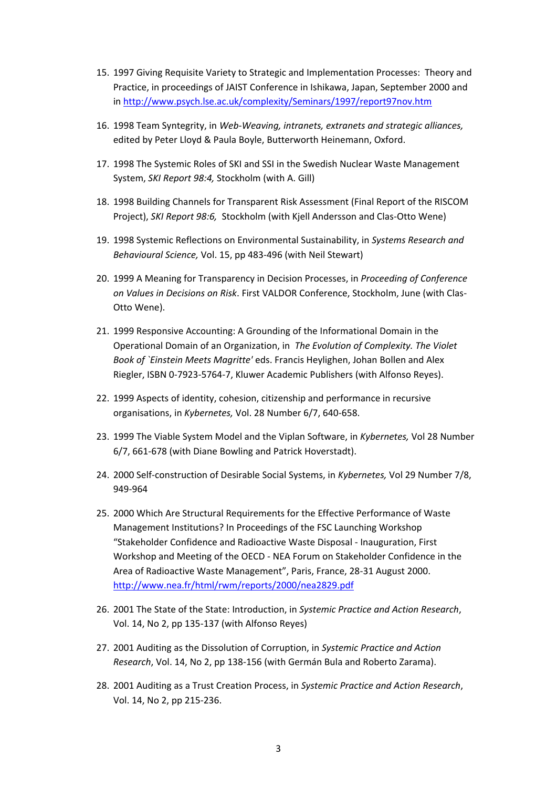- 15. 1997 Giving Requisite Variety to Strategic and Implementation Processes: Theory and Practice, in proceedings of JAIST Conference in Ishikawa, Japan, September 2000 and in<http://www.psych.lse.ac.uk/complexity/Seminars/1997/report97nov.htm>
- 16. 1998 Team Syntegrity, in *Web-Weaving, intranets, extranets and strategic alliances,* edited by Peter Lloyd & Paula Boyle, Butterworth Heinemann, Oxford.
- 17. 1998 The Systemic Roles of SKI and SSI in the Swedish Nuclear Waste Management System, *SKI Report 98:4,* Stockholm (with A. Gill)
- 18. 1998 Building Channels for Transparent Risk Assessment (Final Report of the RISCOM Project), *SKI Report 98:6,* Stockholm (with Kjell Andersson and Clas-Otto Wene)
- 19. 1998 Systemic Reflections on Environmental Sustainability, in *Systems Research and Behavioural Science,* Vol. 15, pp 483-496 (with Neil Stewart)
- 20. 1999 A Meaning for Transparency in Decision Processes, in *Proceeding of Conference on Values in Decisions on Risk*. First VALDOR Conference, Stockholm, June (with Clas-Otto Wene).
- 21. 1999 Responsive Accounting: A Grounding of the Informational Domain in the Operational Domain of an Organization, in *The Evolution of Complexity. The Violet Book of `Einstein Meets Magritte'* eds. Francis Heylighen, Johan Bollen and Alex Riegler, ISBN 0-7923-5764-7, Kluwer Academic Publishers (with Alfonso Reyes).
- 22. 1999 Aspects of identity, cohesion, citizenship and performance in recursive organisations, in *Kybernetes,* Vol. 28 Number 6/7, 640-658.
- 23. 1999 The Viable System Model and the Viplan Software, in *Kybernetes,* Vol 28 Number 6/7, 661-678 (with Diane Bowling and Patrick Hoverstadt).
- 24. 2000 Self-construction of Desirable Social Systems, in *Kybernetes,* Vol 29 Number 7/8, 949-964
- 25. 2000 Which Are Structural Requirements for the Effective Performance of Waste Management Institutions? In Proceedings of the FSC Launching Workshop "Stakeholder Confidence and Radioactive Waste Disposal - Inauguration, First Workshop and Meeting of the OECD - NEA Forum on Stakeholder Confidence in the Area of Radioactive Waste Management", Paris, France, 28-31 August 2000. <http://www.nea.fr/html/rwm/reports/2000/nea2829.pdf>
- 26. 2001 The State of the State: Introduction, in *Systemic Practice and Action Research*, Vol. 14, No 2, pp 135-137 (with Alfonso Reyes)
- 27. 2001 Auditing as the Dissolution of Corruption, in *Systemic Practice and Action Research*, Vol. 14, No 2, pp 138-156 (with Germán Bula and Roberto Zarama).
- 28. 2001 Auditing as a Trust Creation Process, in *Systemic Practice and Action Research*, Vol. 14, No 2, pp 215-236.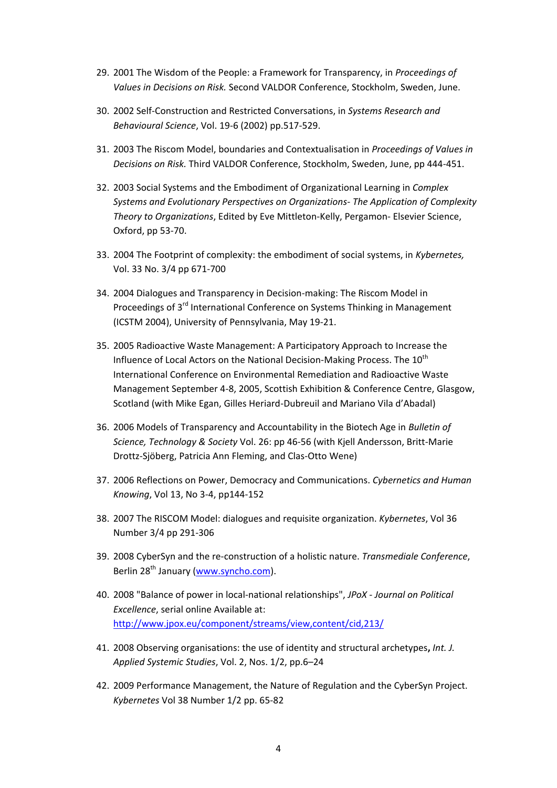- 29. 2001 The Wisdom of the People: a Framework for Transparency, in *Proceedings of Values in Decisions on Risk.* Second VALDOR Conference, Stockholm, Sweden, June.
- 30. 2002 Self-Construction and Restricted Conversations, in *Systems Research and Behavioural Science*, Vol. 19-6 (2002) pp.517-529.
- 31. 2003 The Riscom Model, boundaries and Contextualisation in *Proceedings of Values in Decisions on Risk.* Third VALDOR Conference, Stockholm, Sweden, June, pp 444-451.
- 32. 2003 Social Systems and the Embodiment of Organizational Learning in *Complex Systems and Evolutionary Perspectives on Organizations- The Application of Complexity Theory to Organizations*, Edited by Eve Mittleton-Kelly, Pergamon- Elsevier Science, Oxford, pp 53-70.
- 33. 2004 The Footprint of complexity: the embodiment of social systems, in *Kybernetes,*  Vol. 33 No. 3/4 pp 671-700
- 34. 2004 Dialogues and Transparency in Decision-making: The Riscom Model in Proceedings of 3rd International Conference on Systems Thinking in Management (ICSTM 2004), University of Pennsylvania, May 19-21.
- 35. 2005 Radioactive Waste Management: A Participatory Approach to Increase the Influence of Local Actors on the National Decision-Making Process. The  $10^{th}$ International Conference on Environmental Remediation and Radioactive Waste Management September 4-8, 2005, Scottish Exhibition & Conference Centre, Glasgow, Scotland (with Mike Egan, Gilles Heriard-Dubreuil and Mariano Vila d'Abadal)
- 36. 2006 Models of Transparency and Accountability in the Biotech Age in *Bulletin of Science, Technology & Society* Vol. 26: pp 46-56 (with Kjell Andersson, Britt-Marie Drottz-Sjöberg, Patricia Ann Fleming, and Clas-Otto Wene)
- 37. 2006 Reflections on Power, Democracy and Communications. *Cybernetics and Human Knowing*, Vol 13, No 3-4, pp144-152
- 38. 2007 The RISCOM Model: dialogues and requisite organization. *Kybernetes*, Vol 36 Number 3/4 pp 291-306
- 39. 2008 CyberSyn and the re-construction of a holistic nature. *Transmediale Conference*, Berlin 28<sup>th</sup> January [\(www.syncho.com\)](http://www.syncho.com/).
- 40. 2008 "Balance of power in local-national relationships", *JPoX - Journal on Political Excellence*, serial online Available at: <http://www.jpox.eu/component/streams/view,content/cid,213/>
- 41. 2008 Observing organisations: the use of identity and structural archetypes**,** *Int. J. Applied Systemic Studies*, Vol. 2, Nos. 1/2, pp.6–24
- 42. 2009 Performance Management, the Nature of Regulation and the CyberSyn Project. *Kybernetes* Vol 38 Number 1/2 pp. 65-82